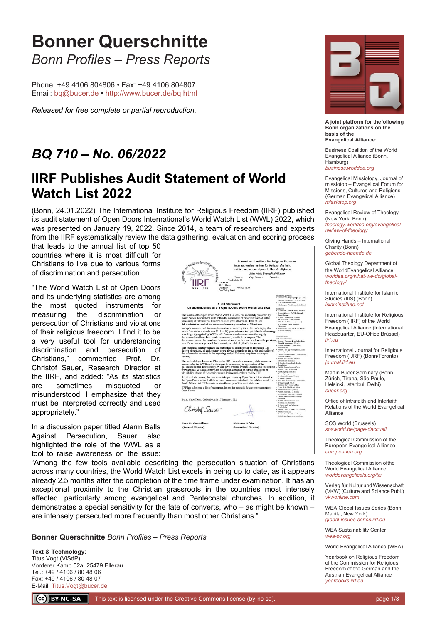## **Bonner Querschnitte** *Bonn Profiles – Press Reports*

Phone: +49 4106 804806 • Fax: +49 4106 804807 Email: [bq@bucer.de](mailto:bq@bucer.de?subject=Frage%20zu%20Bonner%20Querschnitte) •<http://www.bucer.de/bq.html>

*Released for free complete or partial reproduction.*

## *BQ 710 – No. 06/2022*

## **IIRF Publishes Audit Statement of World Watch List 2022**

(Bonn, 24.01.2022) The International Institute for Religious Freedom (IIRF) published its audit statement of Open Doors International's World Watch List (WWL) 2022, which was presented on January 19, 2022. Since 2014, a team of researchers and experts from the IIRF systematically review the data gathering, evaluation and scoring process

that leads to the annual list of top 50 countries where it is most difficult for Christians to live due to various forms of discrimination and persecution.

"The World Watch List of Open Doors and its underlying statistics are among the most quoted instruments for measuring the discrimination or persecution of Christians and violations of their religious freedom. I find it to be a very useful tool for understanding discrimination and persecution of Christians," commented Prof. Dr. Christof Sauer, Research Director at the IIRF, and added: "As its statistics are sometimes misquoted or misunderstood, I emphasize that they must be interpreted correctly and used appropriately."

In a discussion paper titled Alarm Bells Against Persecution, Sauer also highlighted the role of the WWL as a tool to raise awareness on the issue:

Internationales Institut für Religionsfreiheit Institut international pour la liberté religieuse of the World Evangelical Alliance<br>Cape Town - Colombo PO Box 133 Audit Statement<br>on the outcomes of the Open Doors World Watch List 2022 ults of the Open Doors World Watch List 2022 are accurately presents (WWR) within the parameters of precision reached the State of the Medicine and provident in go finformation. Country dossiers give a thorough, detailed, account of the discrimination and persecution of Christian<br>ection of five sample countries selected by the auditors (bri<br>ries audited since 2014 to 29) gave evidence that published<br>praphied by WWR staff. Processes and sour countries at<br>antes contents and sources were finded in the sympath of particular<br>discussive properties and sources were theroughly by the state of and the<br>vector made transparently available on request. The<br>transformation aent (November 2021) describes various qu The met by the WWR staff with regard to consistency in application of the WWR staff with regard to consistency in application of idd in the section of the discussion of the discussion of the discussion of the state of the section statements, documents or interpretations by Open Doors International or<br>Doors national affiliates based on or associated with the publication of the<br>ch List 2022 remain outside the scope of this audit statement. Additions<br>the Open<br>World Wi IIRF has submitted a list of reco ns for pote ential fu Bonn, Cape Town, Colombo, this 17 January 202 Christof Sauet Prof. Dr. Christof Sauer Dr. Dennis P. Petr earch Director (International Director)

International Institute for Religious Freedom



**A joint platform for thefollowing Bonn organizations on the basis of the Evangelical Alliance:**

Business Coalition of the World Evangelical Alliance (Bonn, Hamburg) *[business.worldea.org](https://business.worldea.org/)*

Evangelical Missiology, Journal of missiotop – Evangelical Forum for Missions, Cultures and Religions (German Evangelical Alliance) *[missiotop.org](http://www.missiotop.org/)*

Evangelical Review of Theology (New York, Bonn) *[theology.worldea.org/evangelical](https://theology.worldea.org/evangelical-review-of-theology/)[review-of-theology](https://theology.worldea.org/evangelical-review-of-theology/)*

Giving Hands – International Charity (Bonn) *[gebende-haende.de](http://www.gebende-haende.de/)*

Global Theology Department of the WorldEvangelical Alliance *[worldea.org/what-we-do/global](https://worldea.org/what-we-do/global-theology/)[theology/](https://worldea.org/what-we-do/global-theology/)*

International Institute for Islamic Studies (IIIS) (Bonn) *[islaminstitute.net](http://www.islaminstitute.net/)*

International Institute for Religious Freedom (IIRF) of the World Evangelical Alliance (International Headquarter, EU-Office Brüssel) *[iirf.eu](http://www.iirf.eu/)*

International Journal for Religious Freedom (IJRF) (Bonn/Toronto) *[journal.iirf.eu](http://journal.iirf.eu/)*

Martin Bucer Seminary (Bonn, Zürich, Tirana, São Paulo, Helsinki, Istanbul, Delhi) *[bucer.org](http://www.bucer.org/)*

Office of Intrafaith and Interfaith Relations of the World Evangelical Alliance

SOS World (Brussels) *[sosworld.be/page-daccueil](http://www.sosworld.be/page-daccueil/)*

Theological Commission of the European Evangelical Alliance *[europeanea.org](http://www.europeanea.org/)*

Theological Commission ofthe World Evangelical Alliance *[worldevangelicals.org/tc/](http://www.worldevangelicals.org/tc/)*

Verlag für Kultur und Wissenschaft (VKW) (Culture and Science Publ.) *[vkwonline.com](http://www.vkwonline.com/)*

WEA Global Issues Series (Bonn, Manila, New York) *[global-issues-series.iirf.eu](https://iirf.eu/journal-books/global-issues-series/)*

WEA Sustainability Center *[wea-sc.org](http://www.wea-sc.org/)*

World Evangelical Alliance (WEA)

Yearbook on Religious Freedom of the Commission for Religious Freedom of the German and the Austrian Evangelical Alliance *[yearbooks.iirf.eu](http://yearbooks.iirf.eu/)*

"Among the few tools available describing the persecution situation of Christians across many countries, the World Watch List excels in being up to date, as it appears already 2.5 months after the completion of the time frame under examination. It has an exceptional proximity to the Christian grassroots in the countries most intensely affected, particularly among evangelical and Pentecostal churches. In addition, it demonstrates a special sensitivity for the fate of converts, who – as might be known – are intensely persecuted more frequently than most other Christians."

**Bonner Querschnitte** *Bonn Profiles – Press Reports*

**Text & Technology**: Titus Vogt (ViSdP) Vorderer Kamp 52a, 25479 Ellerau Tel.: +49 / 4106 / 80 48 06 Fax: +49 / 4106 / 80 48 07 E-Mail: [Titus.Vogt@bucer.de](mailto:Titus.Vogt@bucer.de)

CC BY-NC-SA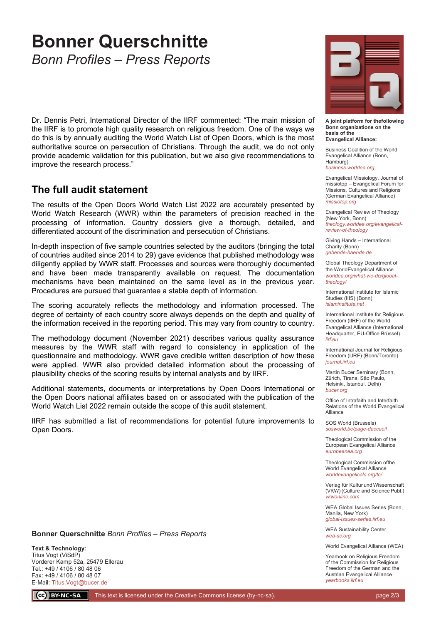## **Bonner Querschnitte** *Bonn Profiles – Press Reports*

Dr. Dennis Petri, International Director of the IIRF commented: "The main mission of the IIRF is to promote high quality research on religious freedom. One of the ways we do this is by annually auditing the World Watch List of Open Doors, which is the most authoritative source on persecution of Christians. Through the audit, we do not only provide academic validation for this publication, but we also give recommendations to improve the research process."

### **The full audit statement**

The results of the Open Doors World Watch List 2022 are accurately presented by World Watch Research (WWR) within the parameters of precision reached in the processing of information. Country dossiers give a thorough, detailed, and differentiated account of the discrimination and persecution of Christians.

In-depth inspection of five sample countries selected by the auditors (bringing the total of countries audited since 2014 to 29) gave evidence that published methodology was diligently applied by WWR staff. Processes and sources were thoroughly documented and have been made transparently available on request. The documentation mechanisms have been maintained on the same level as in the previous year. Procedures are pursued that guarantee a stable depth of information.

The scoring accurately reflects the methodology and information processed. The degree of certainty of each country score always depends on the depth and quality of the information received in the reporting period. This may vary from country to country.

The methodology document (November 2021) describes various quality assurance measures by the WWR staff with regard to consistency in application of the questionnaire and methodology. WWR gave credible written description of how these were applied. WWR also provided detailed information about the processing of plausibility checks of the scoring results by internal analysts and by IIRF.

Additional statements, documents or interpretations by Open Doors International or the Open Doors national affiliates based on or associated with the publication of the World Watch List 2022 remain outside the scope of this audit statement.

IIRF has submitted a list of recommendations for potential future improvements to Open Doors.



**A joint platform for thefollowing Bonn organizations on the basis of the Evangelical Alliance:**

Business Coalition of the World Evangelical Alliance (Bonn, Hamburg) *[business.worldea.org](https://business.worldea.org/)*

Evangelical Missiology, Journal of missiotop – Evangelical Forum for Missions, Cultures and Religions (German Evangelical Alliance) *[missiotop.org](http://www.missiotop.org/)*

Evangelical Review of Theology (New York, Bonn) *[theology.worldea.org/evangelical](https://theology.worldea.org/evangelical-review-of-theology/)[review-of-theology](https://theology.worldea.org/evangelical-review-of-theology/)*

Giving Hands – International Charity (Bonn) *[gebende-haende.de](http://www.gebende-haende.de/)*

Global Theology Department of the WorldEvangelical Alliance *[worldea.org/what-we-do/global](https://worldea.org/what-we-do/global-theology/)[theology/](https://worldea.org/what-we-do/global-theology/)*

International Institute for Islamic Studies (IIIS) (Bonn) *[islaminstitute.net](http://www.islaminstitute.net/)*

International Institute for Religious Freedom (IIRF) of the World Evangelical Alliance (International Headquarter, EU-Office Brüssel) *[iirf.eu](http://www.iirf.eu/)*

International Journal for Religious Freedom (IJRF) (Bonn/Toronto) *[journal.iirf.eu](http://journal.iirf.eu/)*

Martin Bucer Seminary (Bonn, Zürich, Tirana, São Paulo, Helsinki, Istanbul, Delhi) *[bucer.org](http://www.bucer.org/)*

Office of Intrafaith and Interfaith Relations of the World Evangelical Alliance

SOS World (Brussels) *[sosworld.be/page-daccueil](http://www.sosworld.be/page-daccueil/)*

Theological Commission of the European Evangelical Alliance *[europeanea.org](http://www.europeanea.org/)*

Theological Commission ofthe World Evangelical Alliance *[worldevangelicals.org/tc/](http://www.worldevangelicals.org/tc/)*

Verlag für Kultur und Wissenschaft (VKW) (Culture and Science Publ.) *[vkwonline.com](http://www.vkwonline.com/)*

WEA Global Issues Series (Bonn, Manila, New York) *[global-issues-series.iirf.eu](https://iirf.eu/journal-books/global-issues-series/)*

WEA Sustainability Center *[wea-sc.org](http://www.wea-sc.org/)*

World Evangelical Alliance (WEA)

Yearbook on Religious Freedom of the Commission for Religious Freedom of the German and the Austrian Evangelical Alliance *[yearbooks.iirf.eu](http://yearbooks.iirf.eu/)*

**Bonner Querschnitte** *Bonn Profiles – Press Reports*

**Text & Technology**: Titus Vogt (ViSdP) Vorderer Kamp 52a, 25479 Ellerau Tel.: +49 / 4106 / 80 48 06 Fax: +49 / 4106 / 80 48 07 E-Mail: [Titus.Vogt@bucer.de](mailto:Titus.Vogt@bucer.de)

 $\left(\begin{matrix} \begin{matrix} cc \end{matrix} \end{matrix}\right)$  BY-NC-SA

This text is licensed under the Creative Commons license (by-nc-sa). page 2/3